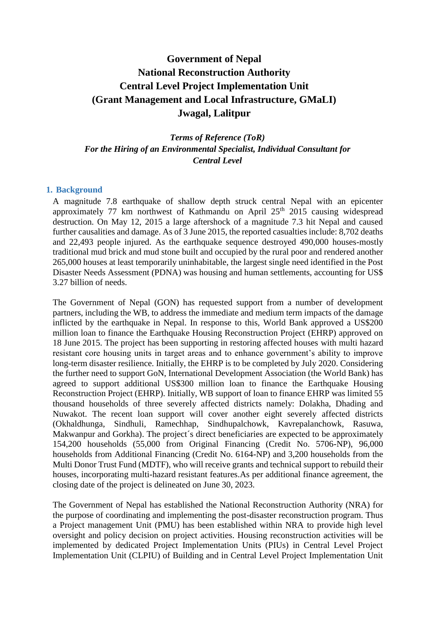# **Government of Nepal National Reconstruction Authority Central Level Project Implementation Unit (Grant Management and Local Infrastructure, GMaLI) Jwagal, Lalitpur**

*Terms of Reference (ToR) For the Hiring of an Environmental Specialist, Individual Consultant for Central Level*

#### **1. Background**

A magnitude 7.8 earthquake of shallow depth struck central Nepal with an epicenter approximately 77 km northwest of Kathmandu on April  $25<sup>th</sup>$  2015 causing widespread destruction. On May 12, 2015 a large aftershock of a magnitude 7.3 hit Nepal and caused further causalities and damage. As of 3 June 2015, the reported casualties include: 8,702 deaths and 22,493 people injured. As the earthquake sequence destroyed 490,000 houses-mostly traditional mud brick and mud stone built and occupied by the rural poor and rendered another 265,000 houses at least temporarily uninhabitable, the largest single need identified in the Post Disaster Needs Assessment (PDNA) was housing and human settlements, accounting for US\$ 3.27 billion of needs.

The Government of Nepal (GON) has requested support from a number of development partners, including the WB, to address the immediate and medium term impacts of the damage inflicted by the earthquake in Nepal. In response to this, World Bank approved a US\$200 million loan to finance the Earthquake Housing Reconstruction Project (EHRP) approved on 18 June 2015. The project has been supporting in restoring affected houses with multi hazard resistant core housing units in target areas and to enhance government's ability to improve long-term disaster resilience. Initially, the EHRP is to be completed by July 2020. Considering the further need to support GoN, International Development Association (the World Bank) has agreed to support additional US\$300 million loan to finance the Earthquake Housing Reconstruction Project (EHRP). Initially, WB support of loan to finance EHRP was limited 55 thousand households of three severely affected districts namely: Dolakha, Dhading and Nuwakot. The recent loan support will cover another eight severely affected districts (Okhaldhunga, Sindhuli, Ramechhap, Sindhupalchowk, Kavrepalanchowk, Rasuwa, Makwanpur and Gorkha). The project´s direct beneficiaries are expected to be approximately 154,200 households (55,000 from Original Financing (Credit No. 5706-NP), 96,000 households from Additional Financing (Credit No. 6164-NP) and 3,200 households from the Multi Donor Trust Fund (MDTF), who will receive grants and technical support to rebuild their houses, incorporating multi-hazard resistant features.As per additional finance agreement, the closing date of the project is delineated on June 30, 2023.

The Government of Nepal has established the National Reconstruction Authority (NRA) for the purpose of coordinating and implementing the post-disaster reconstruction program. Thus a Project management Unit (PMU) has been established within NRA to provide high level oversight and policy decision on project activities. Housing reconstruction activities will be implemented by dedicated Project Implementation Units (PIUs) in Central Level Project Implementation Unit (CLPIU) of Building and in Central Level Project Implementation Unit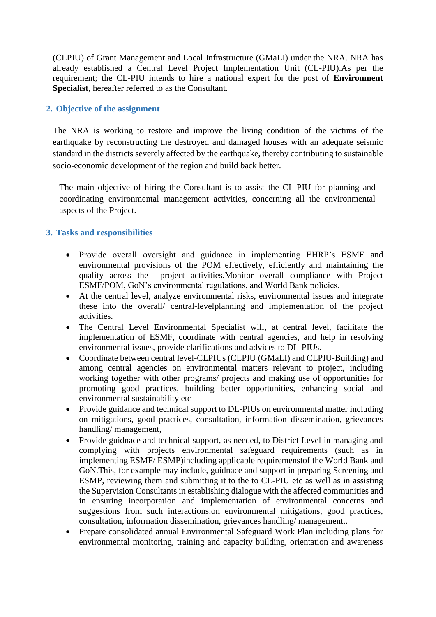(CLPIU) of Grant Management and Local Infrastructure (GMaLI) under the NRA. NRA has already established a Central Level Project Implementation Unit (CL-PIU).As per the requirement; the CL-PIU intends to hire a national expert for the post of **Environment Specialist**, hereafter referred to as the Consultant.

## **2. Objective of the assignment**

The NRA is working to restore and improve the living condition of the victims of the earthquake by reconstructing the destroyed and damaged houses with an adequate seismic standard in the districts severely affected by the earthquake, thereby contributing to sustainable socio-economic development of the region and build back better.

The main objective of hiring the Consultant is to assist the CL-PIU for planning and coordinating environmental management activities, concerning all the environmental aspects of the Project.

### **3. Tasks and responsibilities**

- Provide overall oversight and guidnace in implementing EHRP's ESMF and environmental provisions of the POM effectively, efficiently and maintaining the quality across the project activities.Monitor overall compliance with Project ESMF/POM, GoN's environmental regulations, and World Bank policies.
- At the central level, analyze environmental risks, environmental issues and integrate these into the overall/ central-levelplanning and implementation of the project activities.
- The Central Level Environmental Specialist will, at central level, facilitate the implementation of ESMF, coordinate with central agencies, and help in resolving environmental issues, provide clarifications and advices to DL-PIUs.
- Coordinate between central level-CLPIUs (CLPIU (GMaLI) and CLPIU-Building) and among central agencies on environmental matters relevant to project, including working together with other programs/ projects and making use of opportunities for promoting good practices, building better opportunities, enhancing social and environmental sustainability etc
- Provide guidance and technical support to DL-PIUs on environmental matter including on mitigations, good practices, consultation, information dissemination, grievances handling/ management,
- Provide guidnace and technical support, as needed, to District Level in managing and complying with projects environmental safeguard requirements (such as in implementing ESMF/ ESMP)including applicable requiremenstof the World Bank and GoN.This, for example may include, guidnace and support in preparing Screening and ESMP, reviewing them and submitting it to the to CL-PIU etc as well as in assisting the Supervision Consultants in establishing dialogue with the affected communities and in ensuring incorporation and implementation of environmental concerns and suggestions from such interactions.on environmental mitigations, good practices, consultation, information dissemination, grievances handling/ management..
- Prepare consolidated annual Environmental Safeguard Work Plan including plans for environmental monitoring, training and capacity building, orientation and awareness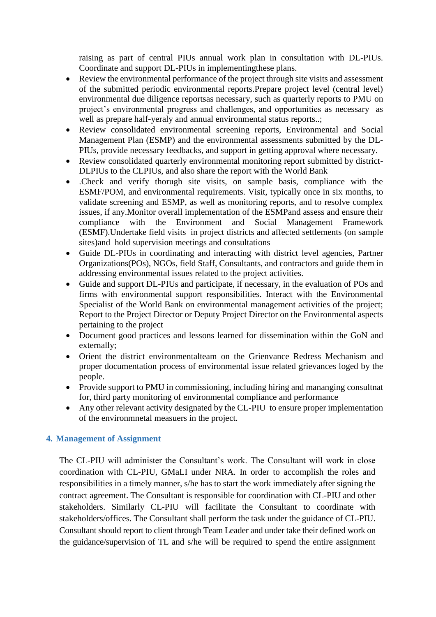raising as part of central PIUs annual work plan in consultation with DL-PIUs. Coordinate and support DL-PIUs in implementingthese plans.

- Review the environmental performance of the project through site visits and assessment of the submitted periodic environmental reports.Prepare project level (central level) environmental due diligence reportsas necessary, such as quarterly reports to PMU on project's environmental progress and challenges, and opportunities as necessary as well as prepare half-yeraly and annual environmental status reports..;
- Review consolidated environmental screening reports, Environmental and Social Management Plan (ESMP) and the environmental assessments submitted by the DL-PIUs, provide necessary feedbacks, and support in getting approval where necessary.
- Review consolidated quarterly environmental monitoring report submitted by district-DLPIUs to the CLPIUs, and also share the report with the World Bank
- .Check and verify thorugh site visits, on sample basis, compliance with the ESMF/POM, and environmental requirements. Visit, typically once in six months, to validate screening and ESMP, as well as monitoring reports, and to resolve complex issues, if any.Monitor overall implementation of the ESMPand assess and ensure their compliance with the Environment and Social Management Framework (ESMF).Undertake field visits in project districts and affected settlements (on sample sites)and hold supervision meetings and consultations
- Guide DL-PIUs in coordinating and interacting with district level agencies, Partner Organizations(POs), NGOs, field Staff, Consultants, and contractors and guide them in addressing environmental issues related to the project activities.
- Guide and support DL-PIUs and participate, if necessary, in the evaluation of POs and firms with environmental support responsibilities. Interact with the Environmental Specialist of the World Bank on environmental management activities of the project; Report to the Project Director or Deputy Project Director on the Environmental aspects pertaining to the project
- Document good practices and lessons learned for dissemination within the GoN and externally;
- Orient the district environmentalteam on the Grienvance Redress Mechanism and proper documentation process of environmental issue related grievances loged by the people.
- Provide support to PMU in commissioning, including hiring and mananging consultnat for, third party monitoring of environmental compliance and performance
- Any other relevant activity designated by the CL-PIU to ensure proper implementation of the environmnetal measuers in the project.

## **4. Management of Assignment**

The CL-PIU will administer the Consultant's work. The Consultant will work in close coordination with CL-PIU, GMaLI under NRA. In order to accomplish the roles and responsibilities in a timely manner, s/he has to start the work immediately after signing the contract agreement. The Consultant is responsible for coordination with CL-PIU and other stakeholders. Similarly CL-PIU will facilitate the Consultant to coordinate with stakeholders/offices. The Consultant shall perform the task under the guidance of CL-PIU. Consultant should report to client through Team Leader and under take their defined work on the guidance/supervision of TL and s/he will be required to spend the entire assignment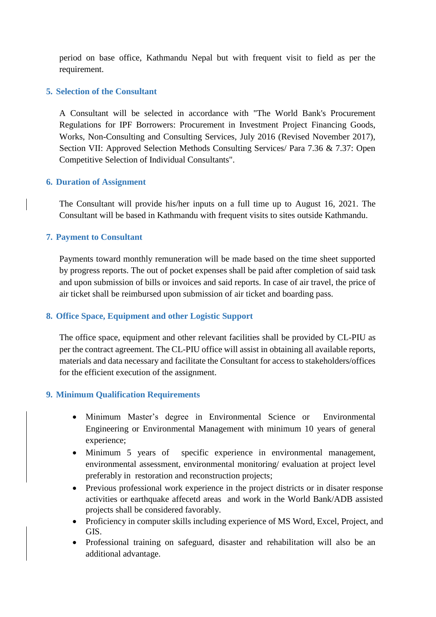period on base office, Kathmandu Nepal but with frequent visit to field as per the requirement.

## **5. Selection of the Consultant**

A Consultant will be selected in accordance with "The World Bank's Procurement Regulations for IPF Borrowers: Procurement in Investment Project Financing Goods, Works, Non-Consulting and Consulting Services, July 2016 (Revised November 2017), Section VII: Approved Selection Methods Consulting Services/ Para 7.36 & 7.37: Open Competitive Selection of Individual Consultants".

# **6. Duration of Assignment**

The Consultant will provide his/her inputs on a full time up to August 16, 2021. The Consultant will be based in Kathmandu with frequent visits to sites outside Kathmandu.

# **7. Payment to Consultant**

Payments toward monthly remuneration will be made based on the time sheet supported by progress reports. The out of pocket expenses shall be paid after completion of said task and upon submission of bills or invoices and said reports. In case of air travel, the price of air ticket shall be reimbursed upon submission of air ticket and boarding pass.

# **8. Office Space, Equipment and other Logistic Support**

The office space, equipment and other relevant facilities shall be provided by CL-PIU as per the contract agreement. The CL-PIU office will assist in obtaining all available reports, materials and data necessary and facilitate the Consultant for access to stakeholders/offices for the efficient execution of the assignment.

# **9. Minimum Qualification Requirements**

- Minimum Master's degree in Environmental Science or Environmental Engineering or Environmental Management with minimum 10 years of general experience;
- Minimum 5 years of specific experience in environmental management, environmental assessment, environmental monitoring/ evaluation at project level preferably in restoration and reconstruction projects;
- Previous professional work experience in the project districts or in disater response activities or earthquake affecetd areas and work in the World Bank/ADB assisted projects shall be considered favorably.
- Proficiency in computer skills including experience of MS Word, Excel, Project, and GIS.
- Professional training on safeguard, disaster and rehabilitation will also be an additional advantage.